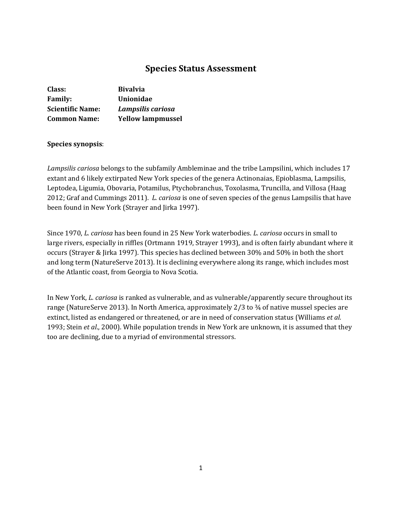# **Species Status Assessment**

| Class:                  | <b>Bivalvia</b>          |
|-------------------------|--------------------------|
| <b>Family:</b>          | <b>Unionidae</b>         |
| <b>Scientific Name:</b> | Lampsilis cariosa        |
| <b>Common Name:</b>     | <b>Yellow lampmussel</b> |

### **Species synopsis**:

*Lampsilis cariosa* belongs to the subfamily Ambleminae and the tribe Lampsilini, which includes 17 extant and 6 likely extirpated New York species of the genera Actinonaias, Epioblasma, Lampsilis, Leptodea, Ligumia, Obovaria, Potamilus, Ptychobranchus, Toxolasma, Truncilla, and Villosa (Haag 2012; Graf and Cummings 2011). *L. cariosa* is one of seven species of the genus Lampsilis that have been found in New York (Strayer and Jirka 1997).

Since 1970, *L. cariosa* has been found in 25 New York waterbodies. *L. cariosa* occurs in small to large rivers, especially in riffles (Ortmann 1919, Strayer 1993), and is often fairly abundant where it occurs (Strayer & Jirka 1997). This species has declined between 30% and 50% in both the short and long term (NatureServe 2013). It is declining everywhere along its range, which includes most of the Atlantic coast, from Georgia to Nova Scotia.

In New York, *L. cariosa* is ranked as vulnerable, and as vulnerable/apparently secure throughout its range (NatureServe 2013). In North America, approximately 2/3 to ¾ of native mussel species are extinct, listed as endangered or threatened, or are in need of conservation status (Williams *et al.*  1993; Stein *et al*., 2000). While population trends in New York are unknown, it is assumed that they too are declining, due to a myriad of environmental stressors.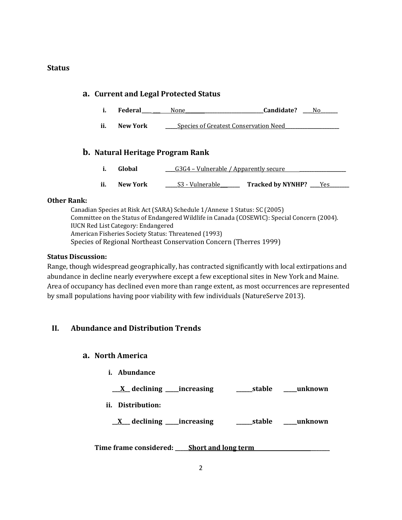### **Status**

# **a. Current and Legal Protected Status**

- **i. Federal\_\_\_\_ \_\_\_** None**\_\_\_\_\_\_\_\_\_\_\_\_\_\_\_\_\_\_\_\_\_\_\_\_\_\_\_\_\_\_\_\_Candidate? \_\_\_\_**No**\_\_\_\_\_\_\_**
- **ii. New York \_\_\_\_\_**Species of Greatest Conservation Need**\_\_\_\_\_\_\_\_\_\_\_\_\_\_\_\_\_\_\_\_\_\_**

# **b. Natural Heritage Program Rank**

- **i. Global bloom G3G4 Vulnerable / Apparently secure <b>C**
- **ii. New York \_\_\_\_\_**S3 Vulnerable**\_\_\_\_\_\_\_\_ Tracked by NYNHP? \_\_\_\_**Yes**\_\_\_\_\_\_\_\_**

### **Other Rank:**

Canadian Species at Risk Act (SARA) Schedule 1/Annexe 1 Status: SC (2005) Committee on the Status of Endangered Wildlife in Canada (COSEWIC): Special Concern (2004). IUCN Red List Category: Endangered American Fisheries Society Status: Threatened (1993) Species of Regional Northeast Conservation Concern (Therres 1999)

### **Status Discussion:**

Range, though widespread geographically, has contracted significantly with local extirpations and abundance in decline nearly everywhere except a few exceptional sites in New York and Maine. Area of occupancy has declined even more than range extent, as most occurrences are represented by small populations having poor viability with few individuals (NatureServe 2013).

# **II. Abundance and Distribution Trends**

### **a. North America**

- **i. Abundance**
- **\_\_\_X\_\_ declining \_\_\_\_\_increasing \_\_\_\_\_\_stable \_\_\_\_\_unknown**
- **ii. Distribution:**

**\_\_X\_\_\_ declining \_\_\_\_\_increasing \_\_\_\_\_\_stable \_\_\_\_\_unknown**

**Time frame considered: \_\_\_\_\_Short and long term \_\_\_\_\_\_\_**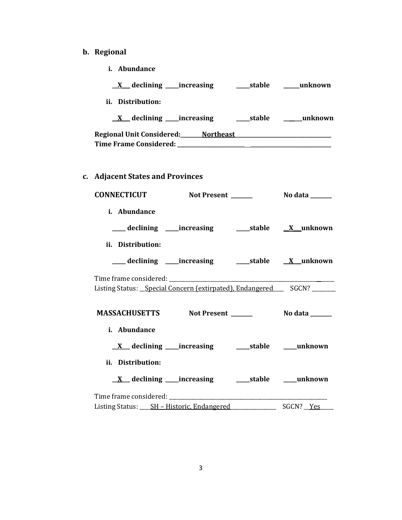# **b. Regional**

**i. Abundance**

| ii. Distribution:                                                                                                         |                       |
|---------------------------------------------------------------------------------------------------------------------------|-----------------------|
|                                                                                                                           |                       |
| Regional Unit Considered: Northeast Manual According Property According Property According Property According P           |                       |
| c. Adjacent States and Provinces                                                                                          |                       |
| CONNECTICUT Not Present ______                                                                                            | <b>No data</b> ______ |
| i. Abundance                                                                                                              |                       |
| ___declining ___increasing _____stable ____X_unknown                                                                      |                       |
| ii. Distribution:                                                                                                         |                       |
| ___ declining ____increasing ______stable ___ X__unknown                                                                  |                       |
| Time frame considered: ______<br>Listing Status: Special Concern (extirpated), Endangered __ SGCN? ______                 |                       |
| MASSACHUSETTS Not Present ______                                                                                          | <b>No data</b> ______ |
| i. Abundance                                                                                                              |                       |
|                                                                                                                           |                       |
| ii. Distribution:                                                                                                         |                       |
|                                                                                                                           |                       |
| Time frame considered:<br>Listing Status: _____ SH - Historic, Endangered __________________________________ SGCN? ___Yes |                       |
|                                                                                                                           |                       |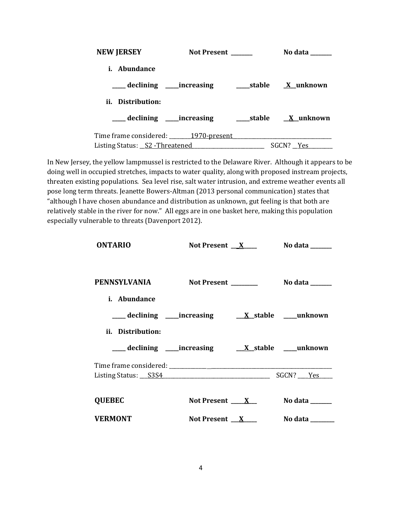| <b>NEW JERSEY</b>                      | <b>Not Present</b>             | No data                       |
|----------------------------------------|--------------------------------|-------------------------------|
| <i>i.</i> Abundance                    |                                |                               |
|                                        | ____ declining _____increasing | _____stable <u>X</u> _unknown |
| ii. Distribution:                      |                                |                               |
| ____ declining _____increasing         |                                | stable X unknown              |
| Time frame considered: 1970-present    |                                |                               |
| Listing Status: <u>S2 - Threatened</u> |                                | SGCN? Yes                     |

In New Jersey, the yellow lampmussel is restricted to the Delaware River. Although it appears to be doing well in occupied stretches, impacts to water quality, along with proposed instream projects, threaten existing populations. Sea level rise, salt water intrusion, and extreme weather events all pose long term threats. Jeanette Bowers-Altman (2013 personal communication) states that "although I have chosen abundance and distribution as unknown, gut feeling is that both are relatively stable in the river for now." All eggs are in one basket here, making this population especially vulnerable to threats (Davenport 2012).

| <b>ONTARIO</b>                                                       | Not Present $X$              | No data <b>waxaa ka dhi</b>        |
|----------------------------------------------------------------------|------------------------------|------------------------------------|
|                                                                      |                              |                                    |
| PENNSYLVANIA                                                         |                              | Not Present ________ No data _____ |
| <i>i.</i> Abundance                                                  |                              |                                    |
| ___ declining ____increasing ____ <u>X_stable __</u> _unknown        |                              |                                    |
| ii. Distribution:                                                    |                              |                                    |
|                                                                      |                              |                                    |
|                                                                      |                              |                                    |
| Listing Status: S3S4 Status And Status And Status Assembly SGCN? Pes |                              |                                    |
| <b>QUEBEC</b>                                                        | Not Present ____ <u>X</u> __ | No data $\_\_$                     |
| <b>VERMONT</b>                                                       | Not Present $X$              | No data $\_\_$                     |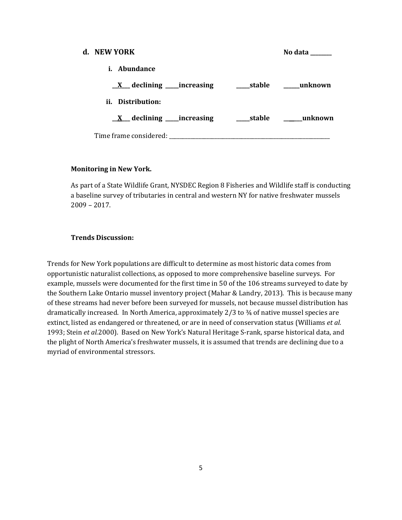| d. NEW YORK                                |            | No data        |
|--------------------------------------------|------------|----------------|
| <i>i.</i> Abundance                        |            |                |
| $\underline{X}$ declining _____ increasing |            | stable unknown |
| ii. Distribution:                          |            |                |
| $\underline{X}$ declining _____ increasing | ____stable | unknown        |
| Time frame considered:                     |            |                |

#### **Monitoring in New York.**

As part of a State Wildlife Grant, NYSDEC Region 8 Fisheries and Wildlife staff is conducting a baseline survey of tributaries in central and western NY for native freshwater mussels 2009 – 2017.

### **Trends Discussion:**

Trends for New York populations are difficult to determine as most historic data comes from opportunistic naturalist collections, as opposed to more comprehensive baseline surveys. For example, mussels were documented for the first time in 50 of the 106 streams surveyed to date by the Southern Lake Ontario mussel inventory project (Mahar & Landry, 2013). This is because many of these streams had never before been surveyed for mussels, not because mussel distribution has dramatically increased. In North America, approximately 2/3 to ¾ of native mussel species are extinct, listed as endangered or threatened, or are in need of conservation status (Williams *et al.*  1993; Stein *et al.*2000). Based on New York's Natural Heritage S-rank, sparse historical data, and the plight of North America's freshwater mussels, it is assumed that trends are declining due to a myriad of environmental stressors.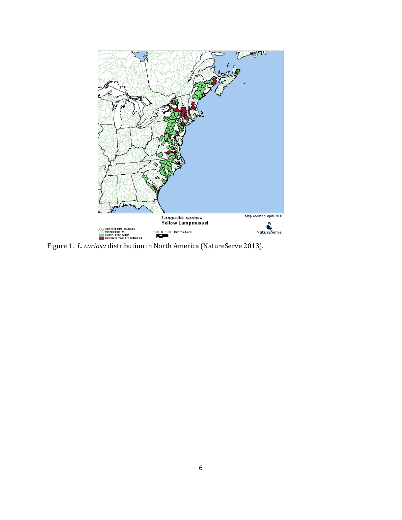

Figure 1. *L. cariosa* distribution in North America (NatureServe 2013).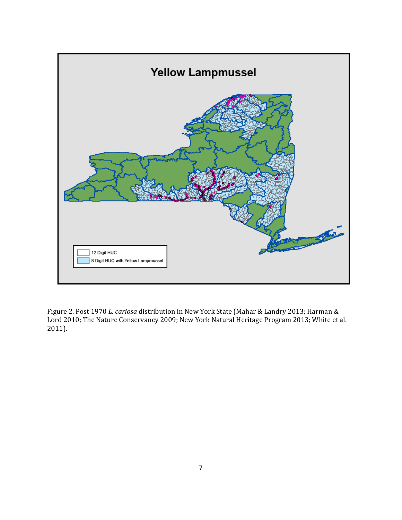

Figure 2. Post 1970 *L. cariosa* distribution in New York State (Mahar & Landry 2013; Harman & Lord 2010; The Nature Conservancy 2009; New York Natural Heritage Program 2013; White et al. 2011).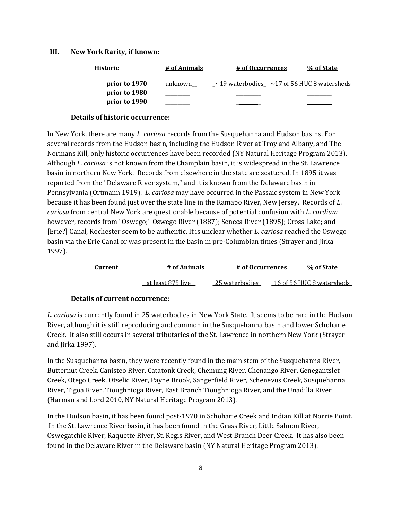#### **III. New York Rarity, if known:**

| <b>Historic</b> | # of Animals   | # of Occurrences | % of State                                             |
|-----------------|----------------|------------------|--------------------------------------------------------|
| prior to 1970   | <u>unknown</u> |                  | $\sim$ 19 waterbodies $\sim$ 17 of 56 HUC 8 watersheds |
| prior to 1980   |                |                  |                                                        |
| prior to 1990   |                |                  |                                                        |

#### **Details of historic occurrence:**

In New York, there are many *L. cariosa* records from the Susquehanna and Hudson basins. For several records from the Hudson basin, including the Hudson River at Troy and Albany, and The Normans Kill, only historic occurrences have been recorded (NY Natural Heritage Program 2013). Although *L. cariosa* is not known from the Champlain basin, it is widespread in the St. Lawrence basin in northern New York. Records from elsewhere in the state are scattered. In 1895 it was reported from the "Delaware River system," and it is known from the Delaware basin in Pennsylvania (Ortmann 1919). *L. cariosa* may have occurred in the Passaic system in New York because it has been found just over the state line in the Ramapo River, New Jersey. Records of *L*. *cariosa* from central New York are questionable because of potential confusion with *L. cardium* however, records from "Oswego;" Oswego River (1887); Seneca River (1895); Cross Lake; and [Erie?] Canal, Rochester seem to be authentic. It is unclear whether *L. cariosa* reached the Oswego basin via the Erie Canal or was present in the basin in pre-Columbian times (Strayer and Jirka 1997).

| Current | # of Animals      | # of Occurrences | % of State                |
|---------|-------------------|------------------|---------------------------|
|         | at least 875 live | 25 waterbodies   | 16 of 56 HUC 8 watersheds |

#### **Details of current occurrence:**

*L. cariosa* is currently found in 25 waterbodies in New York State. It seems to be rare in the Hudson River, although it is still reproducing and common in the Susquehanna basin and lower Schoharie Creek. It also still occurs in several tributaries of the St. Lawrence in northern New York (Strayer and Jirka 1997).

In the Susquehanna basin, they were recently found in the main stem of the Susquehanna River, Butternut Creek, Canisteo River, Catatonk Creek, Chemung River, Chenango River, Genegantslet Creek, Otego Creek, Otselic River, Payne Brook, Sangerfield River, Schenevus Creek, Susquehanna River, Tigoa River, Tioughnioga River, East Branch Tioughnioga River, and the Unadilla River (Harman and Lord 2010, NY Natural Heritage Program 2013).

In the Hudson basin, it has been found post-1970 in Schoharie Creek and Indian Kill at Norrie Point. In the St. Lawrence River basin, it has been found in the Grass River, Little Salmon River, Oswegatchie River, Raquette River, St. Regis River, and West Branch Deer Creek. It has also been found in the Delaware River in the Delaware basin (NY Natural Heritage Program 2013).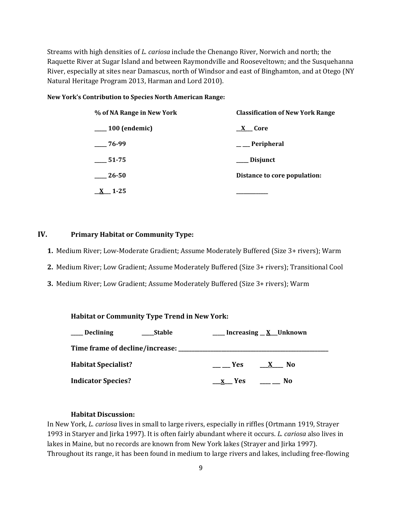Streams with high densities of *L. cariosa* include the Chenango River, Norwich and north; the Raquette River at Sugar Island and between Raymondville and Rooseveltown; and the Susquehanna River, especially at sites near Damascus, north of Windsor and east of Binghamton, and at Otego (NY Natural Heritage Program 2013, Harman and Lord 2010).

#### **New York's Contribution to Species North American Range:**

| % of NA Range in New York | <b>Classification of New York Range</b> |  |  |
|---------------------------|-----------------------------------------|--|--|
| $\_\_100$ (endemic)       | X Core                                  |  |  |
| $-76-99$                  | $\_\_\_$ Peripheral                     |  |  |
| 51-75                     | <b>Disjunct</b>                         |  |  |
| 26-50                     | Distance to core population:            |  |  |
| $1-25$                    |                                         |  |  |

#### **IV. Primary Habitat or Community Type:**

**1.** Medium River; Low-Moderate Gradient; Assume Moderately Buffered (Size 3+ rivers); Warm

- **2.** Medium River; Low Gradient; Assume Moderately Buffered (Size 3+ rivers); Transitional Cool
- **3.** Medium River; Low Gradient; Assume Moderately Buffered (Size 3+ rivers); Warm

| <b>Habitat or Community Type Trend in New York:</b> |  |
|-----------------------------------------------------|--|
|                                                     |  |

| __ Declining<br>Stable                         | Increasing <u>X</u> Unknown               |
|------------------------------------------------|-------------------------------------------|
| Time frame of decline/increase: ______________ |                                           |
| <b>Habitat Specialist?</b>                     | <b>Example SER</b><br>No.<br>$\mathbf{X}$ |
| <b>Indicator Species?</b>                      | x Yes<br>No.                              |

#### **Habitat Discussion:**

In New York, *L. cariosa* lives in small to large rivers, especially in riffles (Ortmann 1919, Strayer 1993 in Staryer and Jirka 1997). It is often fairly abundant where it occurs. *L. cariosa* also lives in lakes in Maine, but no records are known from New York lakes (Strayer and Jirka 1997). Throughout its range, it has been found in medium to large rivers and lakes, including free-flowing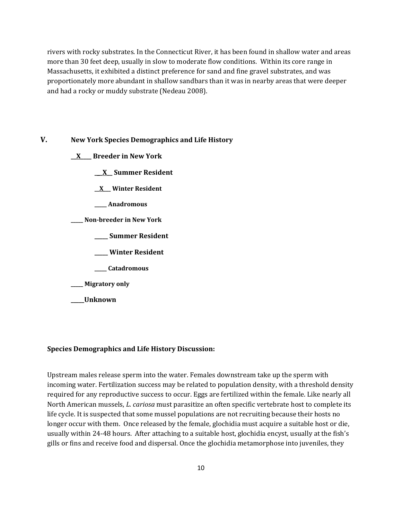rivers with rocky substrates. In the Connecticut River, it has been found in shallow water and areas more than 30 feet deep, usually in slow to moderate flow conditions. Within its core range in Massachusetts, it exhibited a distinct preference for sand and fine gravel substrates, and was proportionately more abundant in shallow sandbars than it was in nearby areas that were deeper and had a rocky or muddy substrate (Nedeau 2008).

### **V. New York Species Demographics and Life History**

- **\_\_X\_\_\_\_ Breeder in New York**
	- **\_\_\_X\_\_ Summer Resident**
	- **\_\_X\_\_\_ Winter Resident**
	- **\_\_\_\_\_ Anadromous**
- **\_\_\_\_\_ Non-breeder in New York**
	- **\_\_\_\_\_ Summer Resident**
	- **\_\_\_\_\_ Winter Resident**
	- **\_\_\_\_\_ Catadromous**
- **\_\_\_\_\_ Migratory only**
- **\_\_\_\_\_Unknown**

#### **Species Demographics and Life History Discussion:**

Upstream males release sperm into the water. Females downstream take up the sperm with incoming water. Fertilization success may be related to population density, with a threshold density required for any reproductive success to occur. Eggs are fertilized within the female. Like nearly all North American mussels, *L. cariosa* must parasitize an often specific vertebrate host to complete its life cycle. It is suspected that some mussel populations are not recruiting because their hosts no longer occur with them. Once released by the female, glochidia must acquire a suitable host or die, usually within 24-48 hours. After attaching to a suitable host, glochidia encyst, usually at the fish's gills or fins and receive food and dispersal. Once the glochidia metamorphose into juveniles, they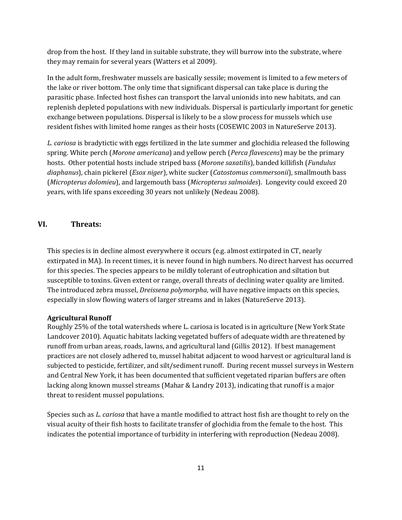drop from the host. If they land in suitable substrate, they will burrow into the substrate, where they may remain for several years (Watters et al 2009).

In the adult form, freshwater mussels are basically sessile; movement is limited to a few meters of the lake or river bottom. The only time that significant dispersal can take place is during the parasitic phase. Infected host fishes can transport the larval unionids into new habitats, and can replenish depleted populations with new individuals. Dispersal is particularly important for genetic exchange between populations. Dispersal is likely to be a slow process for mussels which use resident fishes with limited home ranges as their hosts (COSEWIC 2003 in NatureServe 2013).

*L. cariosa* is bradytictic with eggs fertilized in the late summer and glochidia released the following spring. White perch (*Morone americana*) and yellow perch (*Perca flavescens*) may be the primary hosts. Other potential hosts include striped bass (*Morone saxatilis*), banded killifish (*Fundulus diaphanus*), chain pickerel (*Esox niger*), white sucker (*Catostomus commersonii*), smallmouth bass (*Micropterus dolomieu*), and largemouth bass (*Micropterus salmoides*). Longevity could exceed 20 years, with life spans exceeding 30 years not unlikely (Nedeau 2008).

## **VI. Threats:**

This species is in decline almost everywhere it occurs (e.g. almost extirpated in CT, nearly extirpated in MA). In recent times, it is never found in high numbers. No direct harvest has occurred for this species. The species appears to be mildly tolerant of eutrophication and siltation but susceptible to toxins. Given extent or range, overall threats of declining water quality are limited. The introduced zebra mussel, *Dreissena polymorpha*, will have negative impacts on this species, especially in slow flowing waters of larger streams and in lakes (NatureServe 2013).

#### **Agricultural Runoff**

Roughly 25% of the total watersheds where L. cariosa is located is in agriculture (New York State Landcover 2010). Aquatic habitats lacking vegetated buffers of adequate width are threatened by runoff from urban areas, roads, lawns, and agricultural land (Gillis 2012). If best management practices are not closely adhered to, mussel habitat adjacent to wood harvest or agricultural land is subjected to pesticide, fertilizer, and silt/sediment runoff. During recent mussel surveys in Western and Central New York, it has been documented that sufficient vegetated riparian buffers are often lacking along known mussel streams (Mahar & Landry 2013), indicating that runoff is a major threat to resident mussel populations.

Species such as *L. cariosa* that have a mantle modified to attract host fish are thought to rely on the visual acuity of their fish hosts to facilitate transfer of glochidia from the female to the host. This indicates the potential importance of turbidity in interfering with reproduction (Nedeau 2008).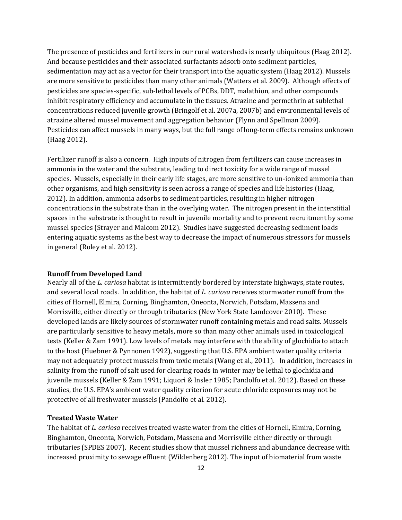The presence of pesticides and fertilizers in our rural watersheds is nearly ubiquitous (Haag 2012). And because pesticides and their associated surfactants adsorb onto sediment particles, sedimentation may act as a vector for their transport into the aquatic system (Haag 2012). Mussels are more sensitive to pesticides than many other animals (Watters et al. 2009). Although effects of pesticides are species-specific, sub-lethal levels of PCBs, DDT, malathion, and other compounds inhibit respiratory efficiency and accumulate in the tissues. Atrazine and permethrin at sublethal concentrations reduced juvenile growth (Bringolf et al. 2007a, 2007b) and environmental levels of atrazine altered mussel movement and aggregation behavior (Flynn and Spellman 2009). Pesticides can affect mussels in many ways, but the full range of long-term effects remains unknown (Haag 2012).

Fertilizer runoff is also a concern. High inputs of nitrogen from fertilizers can cause increases in ammonia in the water and the substrate, leading to direct toxicity for a wide range of mussel species. Mussels, especially in their early life stages, are more sensitive to un-ionized ammonia than other organisms, and high sensitivity is seen across a range of species and life histories (Haag, 2012). In addition, ammonia adsorbs to sediment particles, resulting in higher nitrogen concentrations in the substrate than in the overlying water. The nitrogen present in the interstitial spaces in the substrate is thought to result in juvenile mortality and to prevent recruitment by some mussel species (Strayer and Malcom 2012). Studies have suggested decreasing sediment loads entering aquatic systems as the best way to decrease the impact of numerous stressors for mussels in general (Roley et al. 2012).

#### **Runoff from Developed Land**

Nearly all of the *L. cariosa* habitat is intermittently bordered by interstate highways, state routes, and several local roads. In addition, the habitat of *L. cariosa* receives stormwater runoff from the cities of Hornell, Elmira, Corning, Binghamton, Oneonta, Norwich, Potsdam, Massena and Morrisville, either directly or through tributaries (New York State Landcover 2010). These developed lands are likely sources of stormwater runoff containing metals and road salts. Mussels are particularly sensitive to heavy metals, more so than many other animals used in toxicological tests (Keller & Zam 1991). Low levels of metals may interfere with the ability of glochidia to attach to the host (Huebner & Pynnonen 1992), suggesting that U.S. EPA ambient water quality criteria may not adequately protect mussels from toxic metals (Wang et al., 2011). In addition, increases in salinity from the runoff of salt used for clearing roads in winter may be lethal to glochidia and juvenile mussels (Keller & Zam 1991; Liquori & Insler 1985; Pandolfo et al. 2012). Based on these studies, the U.S. EPA's ambient water quality criterion for acute chloride exposures may not be protective of all freshwater mussels (Pandolfo et al. 2012).

#### **Treated Waste Water**

The habitat of *L. cariosa* receives treated waste water from the cities of Hornell, Elmira, Corning, Binghamton, Oneonta, Norwich, Potsdam, Massena and Morrisville either directly or through tributaries (SPDES 2007). Recent studies show that mussel richness and abundance decrease with increased proximity to sewage effluent (Wildenberg 2012). The input of biomaterial from waste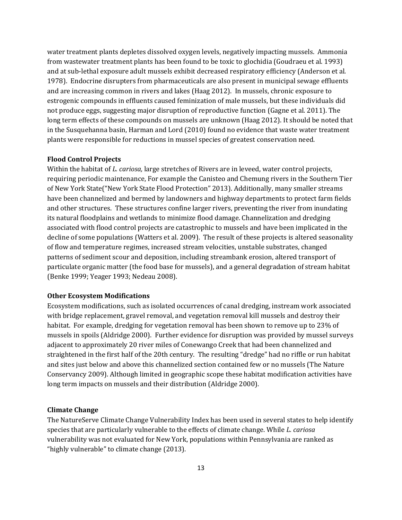water treatment plants depletes dissolved oxygen levels, negatively impacting mussels. Ammonia from wastewater treatment plants has been found to be toxic to glochidia (Goudraeu et al. 1993) and at sub-lethal exposure adult mussels exhibit decreased respiratory efficiency (Anderson et al*.* 1978). Endocrine disrupters from pharmaceuticals are also present in municipal sewage effluents and are increasing common in rivers and lakes (Haag 2012). In mussels, chronic exposure to estrogenic compounds in effluents caused feminization of male mussels, but these individuals did not produce eggs, suggesting major disruption of reproductive function (Gagne et al. 2011). The long term effects of these compounds on mussels are unknown (Haag 2012). It should be noted that in the Susquehanna basin, Harman and Lord (2010) found no evidence that waste water treatment plants were responsible for reductions in mussel species of greatest conservation need.

#### **Flood Control Projects**

Within the habitat of *L. cariosa,* large stretches of Rivers are in leveed, water control projects, requiring periodic maintenance, For example the Canisteo and Chemung rivers in the Southern Tier of New York State("New York State Flood Protection" 2013). Additionally, many smaller streams have been channelized and bermed by landowners and highway departments to protect farm fields and other structures. These structures confine larger rivers, preventing the river from inundating its natural floodplains and wetlands to minimize flood damage. Channelization and dredging associated with flood control projects are catastrophic to mussels and have been implicated in the decline of some populations (Watters et al. 2009). The result of these projects is altered seasonality of flow and temperature regimes, increased stream velocities, unstable substrates, changed patterns of sediment scour and deposition, including streambank erosion, altered transport of particulate organic matter (the food base for mussels), and a general degradation of stream habitat (Benke 1999; Yeager 1993; Nedeau 2008).

#### **Other Ecosystem Modifications**

Ecosystem modifications, such as isolated occurrences of canal dredging, instream work associated with bridge replacement, gravel removal, and vegetation removal kill mussels and destroy their habitat. For example, dredging for vegetation removal has been shown to remove up to 23% of mussels in spoils (Aldridge 2000). Further evidence for disruption was provided by mussel surveys adjacent to approximately 20 river miles of Conewango Creek that had been channelized and straightened in the first half of the 20th century. The resulting "dredge" had no riffle or run habitat and sites just below and above this channelized section contained few or no mussels (The Nature Conservancy 2009). Although limited in geographic scope these habitat modification activities have long term impacts on mussels and their distribution (Aldridge 2000).

#### **Climate Change**

The NatureServe Climate Change Vulnerability Index has been used in several states to help identify species that are particularly vulnerable to the effects of climate change. While *L. cariosa* vulnerability was not evaluated for New York, populations within Pennsylvania are ranked as "highly vulnerable" to climate change (2013).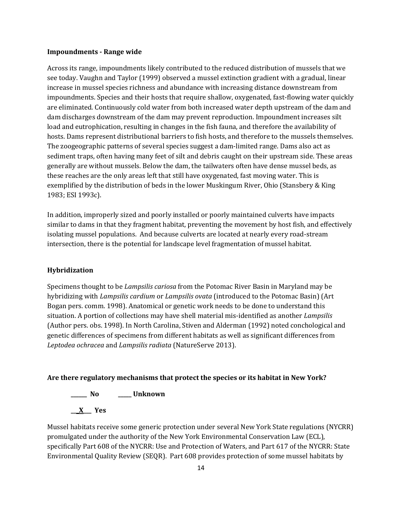#### **Impoundments - Range wide**

Across its range, impoundments likely contributed to the reduced distribution of mussels that we see today. Vaughn and Taylor (1999) observed a mussel extinction gradient with a gradual, linear increase in mussel species richness and abundance with increasing distance downstream from impoundments. Species and their hosts that require shallow, oxygenated, fast-flowing water quickly are eliminated. Continuously cold water from both increased water depth upstream of the dam and dam discharges downstream of the dam may prevent reproduction. Impoundment increases silt load and eutrophication, resulting in changes in the fish fauna, and therefore the availability of hosts. Dams represent distributional barriers to fish hosts, and therefore to the mussels themselves. The zoogeographic patterns of several species suggest a dam-limited range. Dams also act as sediment traps, often having many feet of silt and debris caught on their upstream side. These areas generally are without mussels. Below the dam, the tailwaters often have dense mussel beds, as these reaches are the only areas left that still have oxygenated, fast moving water. This is exemplified by the distribution of beds in the lower Muskingum River, Ohio (Stansbery & King 1983; ESI 1993c).

In addition, improperly sized and poorly installed or poorly maintained culverts have impacts similar to dams in that they fragment habitat, preventing the movement by host fish, and effectively isolating mussel populations. And because culverts are located at nearly every road-stream intersection, there is the potential for landscape level fragmentation of mussel habitat.

#### **Hybridization**

Specimens thought to be *Lampsilis cariosa* from the Potomac River Basin in Maryland may be hybridizing with *Lampsilis cardium* or *Lampsilis ovata* (introduced to the Potomac Basin) (Art Bogan pers. comm. 1998). Anatomical or genetic work needs to be done to understand this situation. A portion of collections may have shell material mis-identified as another *Lampsilis*  (Author pers. obs. 1998). In North Carolina, Stiven and Alderman (1992) noted conchological and genetic differences of specimens from different habitats as well as significant differences from *Leptodea ochracea* and *Lampsilis radiata* (NatureServe 2013).

#### **Are there regulatory mechanisms that protect the species or its habitat in New York?**

**\_\_\_\_\_\_ No \_\_\_\_\_ Unknown**

**\_\_\_X\_\_\_ Yes** 

Mussel habitats receive some generic protection under several New York State regulations (NYCRR) promulgated under the authority of the New York Environmental Conservation Law (ECL), specifically Part 608 of the NYCRR: Use and Protection of Waters, and Part 617 of the NYCRR: State Environmental Quality Review (SEQR). Part 608 provides protection of some mussel habitats by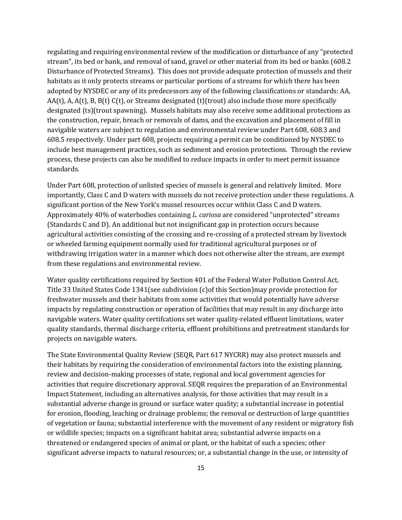regulating and requiring environmental review of the modification or disturbance of any "protected stream", its bed or bank, and removal of sand, gravel or other material from its bed or banks (608.2 Disturbance of Protected Streams). This does not provide adequate protection of mussels and their habitats as it only protects streams or particular portions of a streams for which there has been adopted by NYSDEC or any of its predecessors any of the following classifications or standards: AA, AA(t), A, A(t), B, B(t) C(t), or Streams designated (t)(trout) also include those more specifically designated (ts)(trout spawning). Mussels habitats may also receive some additional protections as the construction, repair, breach or removals of dams, and the excavation and placement of fill in navigable waters are subject to regulation and environmental review under Part 608, 608.3 and 608.5 respectively. Under part 608, projects requiring a permit can be conditioned by NYSDEC to include best management practices, such as sediment and erosion protections. Through the review process, these projects can also be modified to reduce impacts in order to meet permit issuance standards.

Under Part 608, protection of unlisted species of mussels is general and relatively limited. More importantly, Class C and D waters with mussels do not receive protection under these regulations. A significant portion of the New York's mussel resources occur within Class C and D waters. Approximately 40% of waterbodies containing *L. cariosa* are considered "unprotected" streams (Standards C and D). An additional but not insignificant gap in protection occurs because agricultural activities consisting of the crossing and re-crossing of a protected stream by livestock or wheeled farming equipment normally used for traditional agricultural purposes or of withdrawing irrigation water in a manner which does not otherwise alter the stream, are exempt from these regulations and environmental review.

Water quality certifications required by Section 401 of the Federal Water Pollution Control Act, Title 33 United States Code 1341(see subdivision (c)of this Section)may provide protection for freshwater mussels and their habitats from some activities that would potentially have adverse impacts by regulating construction or operation of facilities that may result in any discharge into navigable waters. Water quality certifcations set water quality-related effluent limitations, water quality standards, thermal discharge criteria, effluent prohibitions and pretreatment standards for projects on navigable waters.

The State Environmental Quality Review (SEQR, Part 617 NYCRR) may also protect mussels and their habitats by requiring the consideration of environmental factors into the existing planning, review and decision-making processes of state, regional and local government agencies for activities that require discretionary approval. SEQR requires the preparation of an Environmental Impact Statement, including an alternatives analysis, for those activities that may result in a substantial adverse change in ground or surface water quality; a substantial increase in potential for erosion, flooding, leaching or drainage problems; the removal or destruction of large quantities of vegetation or fauna; substantial interference with the movement of any resident or migratory fish or wildlife species; impacts on a significant habitat area; substantial adverse impacts on a threatened or endangered species of animal or plant, or the habitat of such a species; other significant adverse impacts to natural resources; or, a substantial change in the use, or intensity of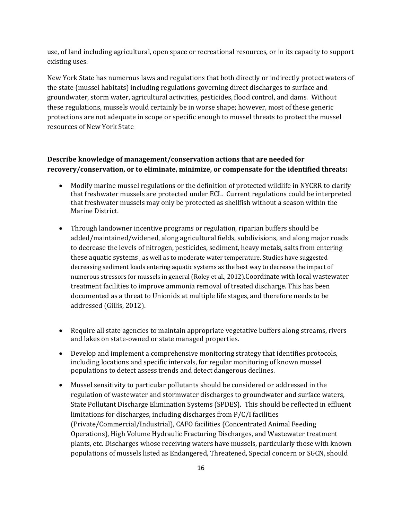use, of land including agricultural, open space or recreational resources, or in its capacity to support existing uses.

New York State has numerous laws and regulations that both directly or indirectly protect waters of the state (mussel habitats) including regulations governing direct discharges to surface and groundwater, storm water, agricultural activities, pesticides, flood control, and dams. Without these regulations, mussels would certainly be in worse shape; however, most of these generic protections are not adequate in scope or specific enough to mussel threats to protect the mussel resources of New York State

# **Describe knowledge of management/conservation actions that are needed for recovery/conservation, or to eliminate, minimize, or compensate for the identified threats:**

- Modify marine mussel regulations or the definition of protected wildlife in NYCRR to clarify that freshwater mussels are protected under ECL. Current regulations could be interpreted that freshwater mussels may only be protected as shellfish without a season within the Marine District.
- Through landowner incentive programs or regulation, riparian buffers should be added/maintained/widened, along agricultural fields, subdivisions, and along major roads to decrease the levels of nitrogen, pesticides, sediment, heavy metals, salts from entering these aquatic systems , as well as to moderate water temperature. Studies have suggested decreasing sediment loads entering aquatic systems as the best way to decrease the impact of numerous stressors for mussels in general (Roley et al., 2012).Coordinate with local wastewater treatment facilities to improve ammonia removal of treated discharge. This has been documented as a threat to Unionids at multiple life stages, and therefore needs to be addressed (Gillis, 2012).
- Require all state agencies to maintain appropriate vegetative buffers along streams, rivers and lakes on state-owned or state managed properties.
- Develop and implement a comprehensive monitoring strategy that identifies protocols, including locations and specific intervals, for regular monitoring of known mussel populations to detect assess trends and detect dangerous declines.
- Mussel sensitivity to particular pollutants should be considered or addressed in the regulation of wastewater and stormwater discharges to groundwater and surface waters, State Pollutant Discharge Elimination Systems (SPDES). This should be reflected in effluent limitations for discharges, including discharges from P/C/I facilities (Private/Commercial/Industrial), CAFO facilities (Concentrated Animal Feeding Operations), High Volume Hydraulic Fracturing Discharges, and Wastewater treatment plants, etc. Discharges whose receiving waters have mussels, particularly those with known populations of mussels listed as Endangered, Threatened, Special concern or SGCN, should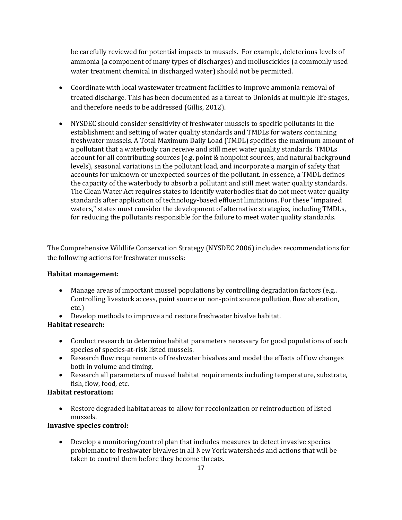be carefully reviewed for potential impacts to mussels. For example, deleterious levels of ammonia (a component of many types of discharges) and molluscicides (a commonly used water treatment chemical in discharged water) should not be permitted.

- Coordinate with local wastewater treatment facilities to improve ammonia removal of treated discharge. This has been documented as a threat to Unionids at multiple life stages, and therefore needs to be addressed (Gillis, 2012).
- NYSDEC should consider sensitivity of freshwater mussels to specific pollutants in the establishment and setting of water quality standards and TMDLs for waters containing freshwater mussels. A Total Maximum Daily Load (TMDL) specifies the maximum amount of a pollutant that a waterbody can receive and still meet water quality standards. TMDLs account for all contributing sources (e.g. point & nonpoint sources, and natural background levels), seasonal variations in the pollutant load, and incorporate a margin of safety that accounts for unknown or unexpected sources of the pollutant. In essence, a TMDL defines the capacity of the waterbody to absorb a pollutant and still meet water quality standards. The Clean Water Act requires states to identify waterbodies that do not meet water quality standards after application of technology-based effluent limitations. For these "impaired waters," states must consider the development of alternative strategies, including TMDLs, for reducing the pollutants responsible for the failure to meet water quality standards.

The Comprehensive Wildlife Conservation Strategy (NYSDEC 2006) includes recommendations for the following actions for freshwater mussels:

# **Habitat management:**

- Manage areas of important mussel populations by controlling degradation factors (e.g.. Controlling livestock access, point source or non-point source pollution, flow alteration, etc.)
- Develop methods to improve and restore freshwater bivalve habitat.

# **Habitat research:**

- Conduct research to determine habitat parameters necessary for good populations of each species of species-at-risk listed mussels.
- Research flow requirements of freshwater bivalves and model the effects of flow changes both in volume and timing.
- Research all parameters of mussel habitat requirements including temperature, substrate, fish, flow, food, etc.

# **Habitat restoration:**

• Restore degraded habitat areas to allow for recolonization or reintroduction of listed mussels.

# **Invasive species control:**

• Develop a monitoring/control plan that includes measures to detect invasive species problematic to freshwater bivalves in all New York watersheds and actions that will be taken to control them before they become threats.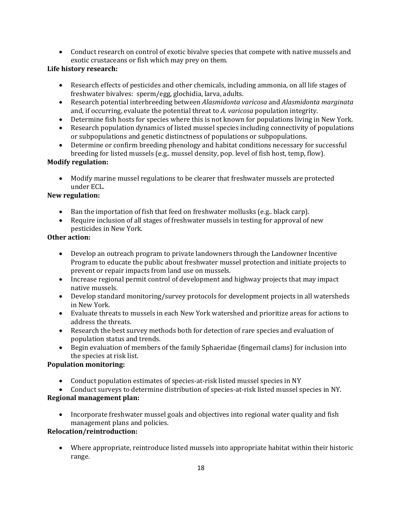• Conduct research on control of exotic bivalve species that compete with native mussels and exotic crustaceans or fish which may prey on them.

# **Life history research:**

- Research effects of pesticides and other chemicals, including ammonia, on all life stages of freshwater bivalves: sperm/egg, glochidia, larva, adults.
- Research potential interbreeding between *Alasmidonta varicosa* and *Alasmidonta marginata* and, if occurring, evaluate the potential threat to *A. varicosa* population integrity.
- Determine fish hosts for species where this is not known for populations living in New York.
- Research population dynamics of listed mussel species including connectivity of populations or subpopulations and genetic distinctness of populations or subpopulations.
- Determine or confirm breeding phenology and habitat conditions necessary for successful breeding for listed mussels (e.g.. mussel density, pop. level of fish host, temp, flow).

# **Modify regulation:**

• Modify marine mussel regulations to be clearer that freshwater mussels are protected under ECL.

# **New regulation:**

- Ban the importation of fish that feed on freshwater mollusks (e.g.. black carp).
- Require inclusion of all stages of freshwater mussels in testing for approval of new pesticides in New York*.*

# **Other action:**

- Develop an outreach program to private landowners through the Landowner Incentive Program to educate the public about freshwater mussel protection and initiate projects to prevent or repair impacts from land use on mussels.
- Increase regional permit control of development and highway projects that may impact native mussels.
- Develop standard monitoring/survey protocols for development projects in all watersheds in New York.
- Evaluate threats to mussels in each New York watershed and prioritize areas for actions to address the threats.
- Research the best survey methods both for detection of rare species and evaluation of population status and trends.
- Begin evaluation of members of the family Sphaeridae (fingernail clams) for inclusion into the species at risk list.

# **Population monitoring:**

- Conduct population estimates of species-at-risk listed mussel species in NY
- Conduct surveys to determine distribution of species-at-risk listed mussel species in NY.

# **Regional management plan:**

• Incorporate freshwater mussel goals and objectives into regional water quality and fish management plans and policies.

# **Relocation/reintroduction:**

• Where appropriate, reintroduce listed mussels into appropriate habitat within their historic range.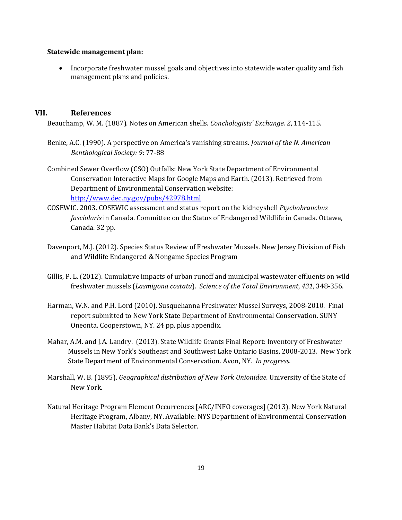#### **Statewide management plan:**

• Incorporate freshwater mussel goals and objectives into statewide water quality and fish management plans and policies.

#### **VII. References**

Beauchamp, W. M. (1887). Notes on American shells. *Conchologists' Exchange. 2*, 114-115.

- Benke, A.C. (1990). A perspective on America's vanishing streams. *Journal of the N. American Benthological Society: 9*: 77-88
- Combined Sewer Overflow (CSO) Outfalls: New York State Department of Environmental Conservation Interactive Maps for Google Maps and Earth. (2013). Retrieved from Department of Environmental Conservation website: <http://www.dec.ny.gov/pubs/42978.html>
- COSEWIC. 2003. COSEWIC assessment and status report on the kidneyshell *Ptychobranchus fasciolaris* in Canada. Committee on the Status of Endangered Wildlife in Canada. Ottawa, Canada. 32 pp.
- Davenport, M.J. (2012). Species Status Review of Freshwater Mussels. New Jersey Division of Fish and Wildlife Endangered & Nongame Species Program
- Gillis, P. L. (2012). Cumulative impacts of urban runoff and municipal wastewater effluents on wild freshwater mussels (*Lasmigona costata*). *Science of the Total Environment*, *431*, 348-356.
- Harman, W.N. and P.H. Lord (2010). Susquehanna Freshwater Mussel Surveys, 2008-2010. Final report submitted to New York State Department of Environmental Conservation. SUNY Oneonta. Cooperstown, NY. 24 pp, plus appendix.
- Mahar, A.M. and J.A. Landry. (2013). State Wildlife Grants Final Report: Inventory of Freshwater Mussels in New York's Southeast and Southwest Lake Ontario Basins, 2008-2013. New York State Department of Environmental Conservation. Avon, NY. *In progress*.
- Marshall, W. B. (1895). *Geographical distribution of New York Unionidae*. University of the State of New York.
- Natural Heritage Program Element Occurrences [ARC/INFO coverages] (2013). New York Natural Heritage Program, Albany, NY. Available: NYS Department of Environmental Conservation Master Habitat Data Bank's Data Selector.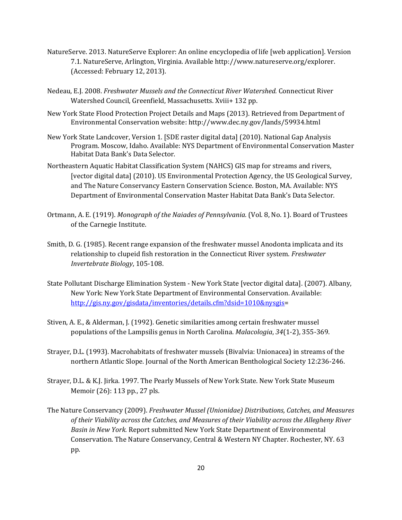- NatureServe. 2013. NatureServe Explorer: An online encyclopedia of life [web application]. Version 7.1. NatureServe, Arlington, Virginia. Available http://www.natureserve.org/explorer. (Accessed: February 12, 2013).
- Nedeau, E.J. 2008. *Freshwater Mussels and the Connecticut River Watershed.* Connecticut River Watershed Council, Greenfield, Massachusetts. Xviii+ 132 pp.
- New York State Flood Protection Project Details and Maps (2013). Retrieved from Department of Environmental Conservation website: http://www.dec.ny.gov/lands/59934.html
- New York State Landcover, Version 1. [SDE raster digital data] (2010). National Gap Analysis Program. Moscow, Idaho. Available: NYS Department of Environmental Conservation Master Habitat Data Bank's Data Selector.
- Northeastern Aquatic Habitat Classification System (NAHCS) GIS map for streams and rivers, [vector digital data] (2010). US Environmental Protection Agency, the US Geological Survey, and The Nature Conservancy Eastern Conservation Science. Boston, MA. Available: NYS Department of Environmental Conservation Master Habitat Data Bank's Data Selector.
- Ortmann, A. E. (1919). *Monograph of the Naiades of Pennsylvania.* (Vol. 8, No. 1). Board of Trustees of the Carnegie Institute.
- Smith, D. G. (1985). Recent range expansion of the freshwater mussel Anodonta implicata and its relationship to clupeid fish restoration in the Connecticut River system. *Freshwater Invertebrate Biology*, 105-108.
- State Pollutant Discharge Elimination System New York State [vector digital data]. (2007). Albany, New York: New York State Department of Environmental Conservation. Available: [http://gis.ny.gov/gisdata/inventories/details.cfm?dsid=1010&nysgis=](http://gis.ny.gov/gisdata/inventories/details.cfm?dsid=1010&nysgis)
- Stiven, A. E., & Alderman, J. (1992). Genetic similarities among certain freshwater mussel populations of the Lampsilis genus in North Carolina. *Malacologia*, *34*(1-2), 355-369.
- Strayer, D.L. (1993). Macrohabitats of freshwater mussels (Bivalvia: Unionacea) in streams of the northern Atlantic Slope. Journal of the North American Benthological Society 12:236-246.
- Strayer, D.L. & K.J. Jirka. 1997. The Pearly Mussels of New York State. New York State Museum Memoir (26): 113 pp., 27 pls.
- The Nature Conservancy (2009). *Freshwater Mussel (Unionidae) Distributions, Catches, and Measures of their Viability across the Catches, and Measures of their Viability across the Allegheny River Basin in New York.* Report submitted New York State Department of Environmental Conservation. The Nature Conservancy, Central & Western NY Chapter. Rochester, NY. 63 pp.